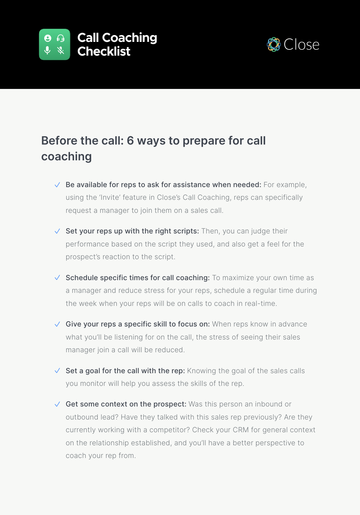



## **Before the call: 6 ways to prepare for call coaching**

- $\vee$  Be available for reps to ask for assistance when needed: For example, using the 'Invite' feature in Close's Call Coaching, reps can specifically request a manager to join them on a sales call.
- $\vee$  Set your reps up with the right scripts: Then, you can judge their performance based on the script they used, and also get a feel for the prospect's reaction to the script.
- $\sqrt{\ }$  Schedule specific times for call coaching: To maximize your own time as a manager and reduce stress for your reps, schedule a regular time during the week when your reps will be on calls to coach in real-time.
- $\vee$  Give your reps a specific skill to focus on: When reps know in advance what you'll be listening for on the call, the stress of seeing their sales manager join a call will be reduced.
- $\vee$  Set a goal for the call with the rep: Knowing the goal of the sales calls you monitor will help you assess the skills of the rep.
- $\sqrt{\phantom{a}}$  Get some context on the prospect: Was this person an inbound or outbound lead? Have they talked with this sales rep previously? Are they currently working with a competitor? Check your CRM for general context on the relationship established, and you'll have a better perspective to coach your rep from.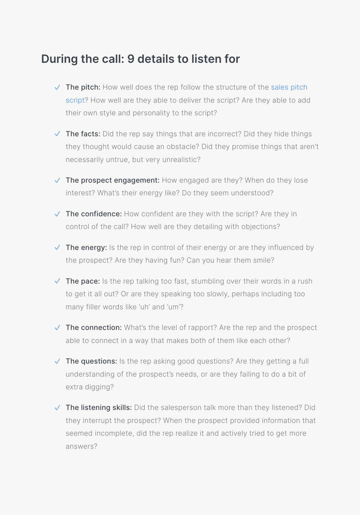## **During the call: 9 details to listen for**

- $\vee$  The pitch: How well does the rep follow the structure of the sales pitch [script?](https://close.com/sales-pitch/sales-pitch-script/) How well are they able to deliver the script? Are they able to add their own style and personality to the script?
- $\vee$  The facts: Did the rep say things that are incorrect? Did they hide things they thought would cause an obstacle? Did they promise things that aren't necessarily untrue, but very unrealistic?
- $\sqrt{\phantom{a}}$  The prospect engagement: How engaged are they? When do they lose interest? What's their energy like? Do they seem understood?
- $\sqrt{\phantom{a}}$  The confidence: How confident are they with the script? Are they in control of the call? How well are they detailing with objections?
- $\sqrt{\phantom{a}}$  The energy: Is the rep in control of their energy or are they influenced by the prospect? Are they having fun? Can you hear them smile?
- $\sqrt{\phantom{a}}$  The pace: Is the rep talking too fast, stumbling over their words in a rush to get it all out? Or are they speaking too slowly, perhaps including too many filler words like 'uh' and 'um'?
- $\vee$  The connection: What's the level of rapport? Are the rep and the prospect able to connect in a way that makes both of them like each other?
- $\vee$  The questions: Is the rep asking good questions? Are they getting a full understanding of the prospect's needs, or are they failing to do a bit of extra digging?
- $\sqrt{\phantom{a}}$  The listening skills: Did the salesperson talk more than they listened? Did they interrupt the prospect? When the prospect provided information that seemed incomplete, did the rep realize it and actively tried to get more answers?